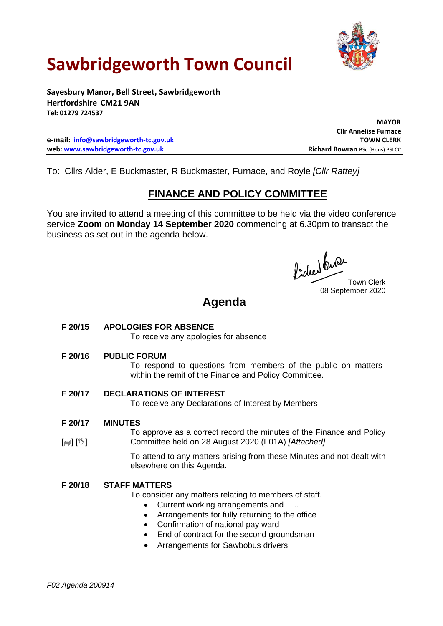

# **Sawbridgeworth Town Council**

**Sayesbury Manor, Bell Street, Sawbridgeworth Hertfordshire CM21 9AN Tel: 01279 724537**

**e-mail: [info@sawbridgeworth-tc.gov.uk](mailto:info@sawbridgeworth-tc.gov.uk) TOWN CLERK web: www.sawbridgeworth-tc.gov.uk Richard Bowran BSc.(Hons) PSLCC Richard Bowran BSc.(Hons) PSLCC** 

 **MAYOR Cllr Annelise Furnace**

To: Cllrs Alder, E Buckmaster, R Buckmaster, Furnace, and Royle *[Cllr Rattey]*

## **FINANCE AND POLICY COMMITTEE**

You are invited to attend a meeting of this committee to be held via the video conference service **Zoom** on **Monday 14 September 2020** commencing at 6.30pm to transact the business as set out in the agenda below.

fide buse Town Clerk 08 September 2020

# **Agenda**

### **F 20/15 APOLOGIES FOR ABSENCE**

To receive any apologies for absence

### **F 20/16 PUBLIC FORUM**

To respond to questions from members of the public on matters within the remit of the Finance and Policy Committee.

### **F 20/17 DECLARATIONS OF INTEREST**

To receive any Declarations of Interest by Members

#### **F 20/17 MINUTES**

[@] [<sup>w</sup>] To approve as a correct record the minutes of the Finance and Policy Committee held on 28 August 2020 (F01A) *[Attached]*

> To attend to any matters arising from these Minutes and not dealt with elsewhere on this Agenda.

## **F 20/18 STAFF MATTERS**

To consider any matters relating to members of staff.

- Current working arrangements and .....
- Arrangements for fully returning to the office
- Confirmation of national pay ward
- End of contract for the second groundsman
- Arrangements for Sawbobus drivers